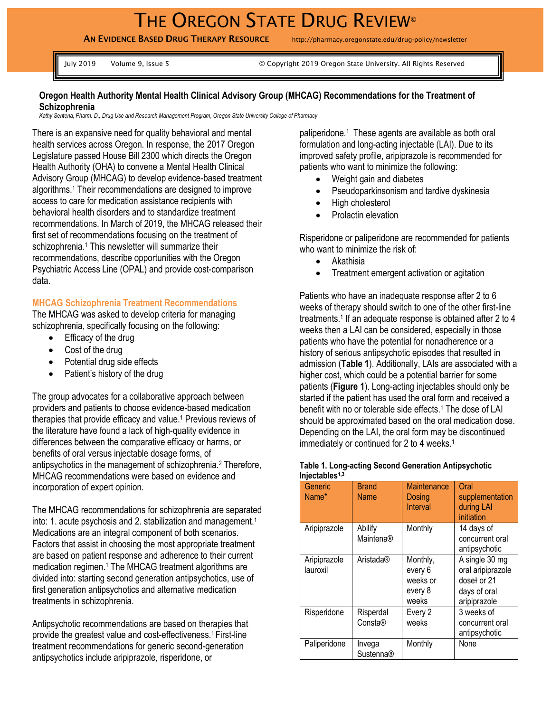# THE OREGON STATE DRUG REVIEW®

**AN EVIDENCE BASED DRUG THERAPY RESOURCE** http://pharmacy.oregonstate.edu/drug-policy/newsletter

July 2019 Volume 9, Issue 5 © Copyright 2019 Oregon State University. All Rights Reserved

#### **Oregon Health Authority Mental Health Clinical Advisory Group (MHCAG) Recommendations for the Treatment of Schizophrenia**

*Kathy Sentena, Pharm. D., Drug Use and Research Management Program, Oregon State University College of Pharmacy*

There is an expansive need for quality behavioral and mental health services across Oregon. In response, the 2017 Oregon Legislature passed House Bill 2300 which directs the Oregon Health Authority (OHA) to convene a Mental Health Clinical Advisory Group (MHCAG) to develop evidence-based treatment algorithms.<sup>1</sup> Their recommendations are designed to improve access to care for medication assistance recipients with behavioral health disorders and to standardize treatment recommendations. In March of 2019, the MHCAG released their first set of recommendations focusing on the treatment of schizophrenia.<sup>1</sup> This newsletter will summarize their recommendations, describe opportunities with the Oregon Psychiatric Access Line (OPAL) and provide cost-comparison data.

## **MHCAG Schizophrenia Treatment Recommendations**

The MHCAG was asked to develop criteria for managing schizophrenia, specifically focusing on the following:

- Efficacy of the drug
- Cost of the drug
- Potential drug side effects
- Patient's history of the drug

The group advocates for a collaborative approach between providers and patients to choose evidence-based medication therapies that provide efficacy and value.<sup>1</sup> Previous reviews of the literature have found a lack of high-quality evidence in differences between the comparative efficacy or harms, or benefits of oral versus injectable dosage forms, of antipsychotics in the management of schizophrenia.<sup>2</sup> Therefore, MHCAG recommendations were based on evidence and incorporation of expert opinion.

The MHCAG recommendations for schizophrenia are separated into: 1. acute psychosis and 2. stabilization and management. 1 Medications are an integral component of both scenarios. Factors that assist in choosing the most appropriate treatment are based on patient response and adherence to their current medication regimen. <sup>1</sup> The MHCAG treatment algorithms are divided into: starting second generation antipsychotics, use of first generation antipsychotics and alternative medication treatments in schizophrenia.

Antipsychotic recommendations are based on therapies that provide the greatest value and cost-effectiveness.<sup>1</sup> First-line treatment recommendations for generic second-generation antipsychotics include aripiprazole, risperidone, or

paliperidone. <sup>1</sup> These agents are available as both oral formulation and long-acting injectable (LAI). Due to its improved safety profile, aripiprazole is recommended for patients who want to minimize the following:

- Weight gain and diabetes
- Pseudoparkinsonism and tardive dyskinesia
- High cholesterol
- Prolactin elevation

Risperidone or paliperidone are recommended for patients who want to minimize the risk of:

- Akathisia
- Treatment emergent activation or agitation

Patients who have an inadequate response after 2 to 6 weeks of therapy should switch to one of the other first-line treatments.<sup>1</sup> If an adequate response is obtained after 2 to 4 weeks then a LAI can be considered, especially in those patients who have the potential for nonadherence or a history of serious antipsychotic episodes that resulted in admission (**Table 1**). Additionally, LAIs are associated with a higher cost, which could be a potential barrier for some patients (**Figure 1**). Long-acting injectables should only be started if the patient has used the oral form and received a benefit with no or tolerable side effects.<sup>1</sup> The dose of LAI should be approximated based on the oral medication dose. Depending on the LAI, the oral form may be discontinued immediately or continued for 2 to 4 weeks.<sup>1</sup>

| Generic<br>Name*         | <b>Brand</b><br><b>Name</b> | <b>Maintenance</b><br>Dosing<br>Interval            | Oral<br>supplementation<br>during LAI<br>initiation                                |
|--------------------------|-----------------------------|-----------------------------------------------------|------------------------------------------------------------------------------------|
| Aripiprazole             | Abilify<br>Maintena®        | Monthly                                             | 14 days of<br>concurrent oral<br>antipsychotic                                     |
| Aripiprazole<br>lauroxil | Aristada®                   | Monthly,<br>every 6<br>weeks or<br>every 8<br>weeks | A single 30 mg<br>oral aripiprazole<br>doset or 21<br>days of oral<br>aripiprazole |
| Risperidone              | Risperdal<br>Consta®        | Every 2<br>weeks                                    | 3 weeks of<br>concurrent oral<br>antipsychotic                                     |
| Paliperidone             | Invega<br>Sustenna®         | Monthly                                             | None                                                                               |

#### **Table 1. Long-acting Second Generation Antipsychotic Injectables1,3**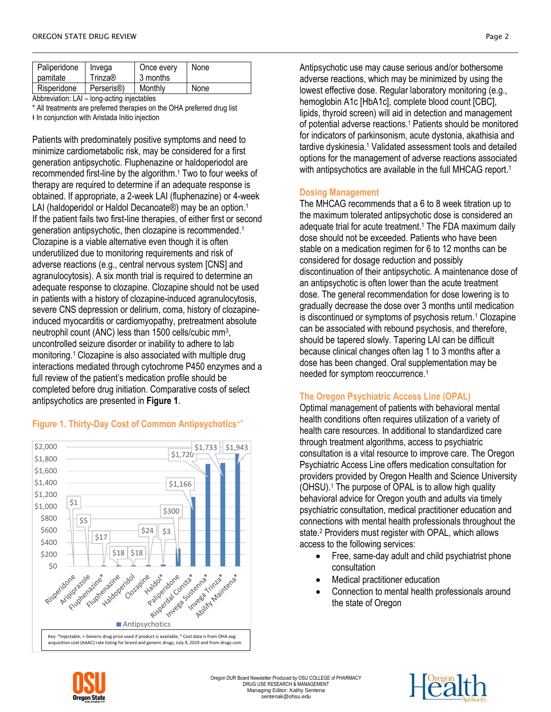| Paliperidone<br>pamitate     | Invega<br>Trinza®     | Once every<br>3 months | None |
|------------------------------|-----------------------|------------------------|------|
| Risperidone                  | Perseris <sup>®</sup> | Monthly                | None |
| tana a satu a tata stabila a |                       |                        |      |

Abbreviation: LAI – long-acting injectables

\* All treatments are preferred therapies on the OHA preferred drug list ƚ In conjunction with Aristada Initio injection

Patients with predominately positive symptoms and need to minimize cardiometabolic risk, may be considered for a first generation antipsychotic. Fluphenazine or haldoperiodol are recommended first-line by the algorithm. <sup>1</sup> Two to four weeks of therapy are required to determine if an adequate response is obtained. If appropriate, a 2-week LAI (fluphenazine) or 4-week LAI (haldoperidol or Haldol Decanoate®) may be an option.<sup>1</sup> If the patient fails two first-line therapies, of either first or second generation antipsychotic, then clozapine is recommended.<sup>1</sup> Clozapine is a viable alternative even though it is often underutilized due to monitoring requirements and risk of adverse reactions (e.g., central nervous system [CNS] and agranulocytosis). A six month trial is required to determine an adequate response to clozapine. Clozapine should not be used in patients with a history of clozapine-induced agranulocytosis, severe CNS depression or delirium, coma, history of clozapineinduced myocarditis or cardiomyopathy, pretreatment absolute neutrophil count (ANC) less than 1500 cells/cubic mm<sup>3</sup> , uncontrolled seizure disorder or inability to adhere to lab monitoring.<sup>1</sup> Clozapine is also associated with multiple drug interactions mediated through cytochrome P450 enzymes and a full review of the patient's medication profile should be completed before drug initiation. Comparative costs of select antipsychotics are presented in **Figure 1**.

# **Figure 1. Thirty-Day Cost of Common Antipsychotics^**



Antipsychotic use may cause serious and/or bothersome adverse reactions, which may be minimized by using the lowest effective dose. Regular laboratory monitoring (e.g., hemoglobin A1c [HbA1c], complete blood count [CBC], lipids, thyroid screen) will aid in detection and management of potential adverse reactions.<sup>1</sup> Patients should be monitored for indicators of parkinsonism, acute dystonia, akathisia and tardive dyskinesia.<sup>1</sup> Validated assessment tools and detailed options for the management of adverse reactions associated with antipsychotics are available in the full MHCAG report.<sup>1</sup>

# **Dosing Management**

The MHCAG recommends that a 6 to 8 week titration up to the maximum tolerated antipsychotic dose is considered an adequate trial for acute treatment. <sup>1</sup> The FDA maximum daily dose should not be exceeded. Patients who have been stable on a medication regimen for 6 to 12 months can be considered for dosage reduction and possibly discontinuation of their antipsychotic. A maintenance dose of an antipsychotic is often lower than the acute treatment dose. The general recommendation for dose lowering is to gradually decrease the dose over 3 months until medication is discontinued or symptoms of psychosis return.<sup>1</sup> Clozapine can be associated with rebound psychosis, and therefore, should be tapered slowly. Tapering LAI can be difficult because clinical changes often lag 1 to 3 months after a dose has been changed. Oral supplementation may be needed for symptom reoccurrence.<sup>1</sup>

# **The Oregon Psychiatric Access Line (OPAL)**

Optimal management of patients with behavioral mental health conditions often requires utilization of a variety of health care resources. In additional to standardized care through treatment algorithms, access to psychiatric consultation is a vital resource to improve care. The Oregon Psychiatric Access Line offers medication consultation for providers provided by Oregon Health and Science University (OHSU).<sup>1</sup> The purpose of OPAL is to allow high quality behavioral advice for Oregon youth and adults via timely psychiatric consultation, medical practitioner education and connections with mental health professionals throughout the state. <sup>2</sup> Providers must register with OPAL, which allows access to the following services:

- Free, same-day adult and child psychiatrist phone consultation
- Medical practitioner education
- Connection to mental health professionals around the state of Oregon